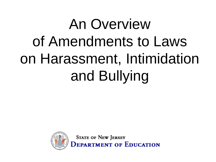### An Overview of Amendments to Laws on Harassment, Intimidation and Bullying



**STATE OF NEW JERSEY EPARTMENT OF EDUCATION**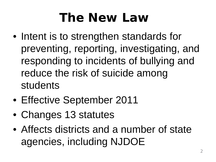### *The New Law*

- Intent is to strengthen standards for preventing, reporting, investigating, and responding to incidents of bullying and reduce the risk of suicide among students
- Effective September 2011
- Changes 13 statutes
- Affects districts and a number of state agencies, including NJDOE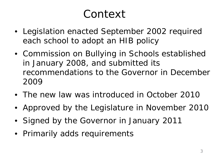### *Context*

- Legislation enacted September 2002 required each school to adopt an HIB policy
- Commission on Bullying in Schools established in January 2008, and submitted its recommendations to the Governor in December 2009
- The new law was introduced in October 2010
- Approved by the Legislature in November 2010
- Signed by the Governor in January 2011
- Primarily adds requirements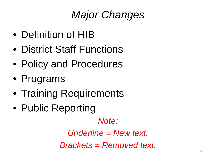### *Major Changes*

- Definition of HIB
- District Staff Functions
- Policy and Procedures
- Programs
- Training Requirements
- Public Reporting

*Note:* 

*Underline = New text. Brackets = Removed text.* 4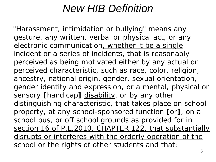### *New HIB Definition*

"Harassment, intimidation or bullying" means any gesture, any written, verbal or physical act, or any electronic communication, whether it be a single incident or a series of incidents, that is reasonably perceived as being motivated either by any actual or perceived characteristic, such as race, color, religion, ancestry, national origin, gender, sexual orientation, gender identity and expression, or a mental, physical or sensory [handicap] disability, or by any other distinguishing characteristic, that takes place on school property, at any school-sponsored function **[**or**]**, on a school bus, or off school grounds as provided for in section 16 of P.L.2010, CHAPTER 122, that substantially disrupts or interferes with the orderly operation of the school or the rights of other students and that: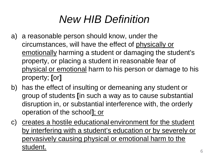### *New HIB Definition*

- a) a reasonable person should know, under the circumstances, will have the effect of physically or emotionally harming a student or damaging the student's property, or placing a student in reasonable fear of physical or emotional harm to his person or damage to his property; **[**or**]**
- b) has the effect of insulting or demeaning any student or group of students **[**in such a way as to cause substantial disruption in, or substantial interference with, the orderly operation of the school**]**; or
- c) creates a hostile educational environment for the student by interfering with a student's education or by severely or pervasively causing physical or emotional harm to the student.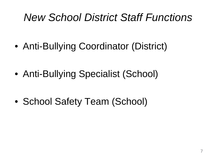### *New School District Staff Functions*

- Anti-Bullying Coordinator (District)
- Anti-Bullying Specialist (School)
- School Safety Team (School)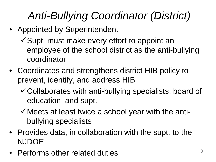### *Anti-Bullying Coordinator (District)*

- Appointed by Superintendent
	- $\checkmark$  Supt. must make every effort to appoint an employee of the school district as the anti-bullying coordinator
- Coordinates and strengthens district HIB policy to prevent, identify, and address HIB
	- Collaborates with anti-bullying specialists, board of education and supt.
	- $\checkmark$  Meets at least twice a school year with the antibullying specialists
- Provides data, in collaboration with the supt. to the NJDOE
- Performs other related duties  $\frac{8}{10}$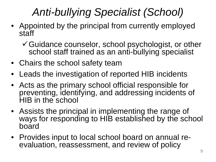### *Anti-bullying Specialist (School)*

- Appointed by the principal from currently employed staff
	- Guidance counselor, school psychologist, or other school staff trained as an anti-bullying specialist
- Chairs the school safety team
- Leads the investigation of reported HIB incidents
- Acts as the primary school official responsible for preventing, identifying, and addressing incidents of HIB in the school
- Assists the principal in implementing the range of ways for responding to HIB established by the school board
- Provides input to local school board on annual re- evaluation, reassessment, and review of policy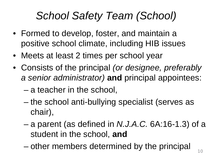### *School Safety Team (School)*

- Formed to develop, foster, and maintain a positive school climate, including HIB issues
- Meets at least 2 times per school year
- Consists of the principal *(or designee, preferably a senior administrator)* **and** principal appointees:
	- a teacher in the school,
	- the school anti-bullying specialist (serves as chair),
	- a parent (as defined in *N.J.A.C.* 6A:16-1.3) of a student in the school, **and**
	- $-$  other members determined by the principal  $\frac{100}{100}$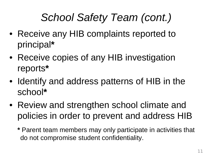### *School Safety Team (cont.)*

- Receive any HIB complaints reported to principal**\***
- Receive copies of any HIB investigation reports**\***
- Identify and address patterns of HIB in the school**\***
- Review and strengthen school climate and policies in order to prevent and address HIB
	- **\*** Parent team members may only participate in activities that do not compromise student confidentiality.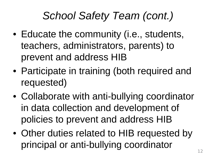### *School Safety Team (cont.)*

- Educate the community (*i.e.*, students, teachers, administrators, parents) to prevent and address HIB
- Participate in training (both required and requested)
- Collaborate with anti-bullying coordinator in data collection and development of policies to prevent and address HIB
- Other duties related to HIB requested by principal or anti-bullying coordinator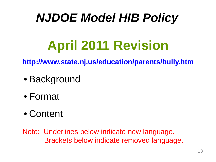### *NJDOE Model HIB Policy*

### **April 2011 Revision**

**http://www.state.nj.us/education/parents/bully.htm**

- Background
- Format
- Content

Note: Underlines below indicate new language. Brackets below indicate removed language.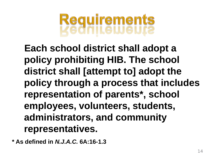

**Each school district shall adopt a policy prohibiting HIB. The school district shall [attempt to] adopt the policy through a process that includes representation of parents\*, school employees, volunteers, students, administrators, and community representatives.**

**\* As defined in** *N.J.A.C.* **6A:16-1.3**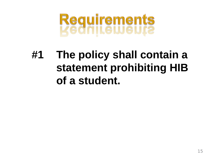# **Requirements<br>Kednileweurs**

### **#1 The policy shall contain a statement prohibiting HIB of a student.**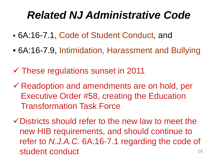### *Related NJ Administrative Code*

- 6A:16-7.1, Code of Student Conduct, and
- 6A:16-7.9, Intimidation, Harassment and Bullying
- $\checkmark$  These regulations sunset in 2011
- $\checkmark$  Readoption and amendments are on hold, per Executive Order #58, creating the Education Transformation Task Force

 $\checkmark$  Districts should refer to the new law to meet the new HIB requirements, and should continue to refer to *N.J.A.C.* 6A:16-7.1 regarding the code of student conduct and the student of  $\frac{16}{16}$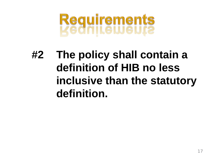# **Requirements<br>Kedniteweurz**

### **#2 The policy shall contain a definition of HIB no less inclusive than the statutory definition.**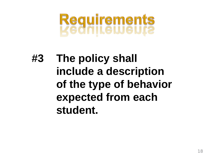# **Requirements<br>Kednikeweura**

### **#3 The policy shall include a description of the type of behavior expected from each student.**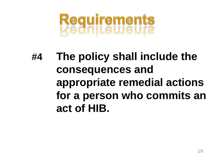# **Requirements<br>Kednikeweura**

### **#4 The policy shall include the consequences and appropriate remedial actions for a person who commits an act of HIB.**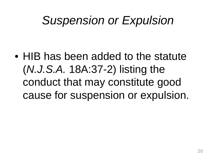### *Suspension or Expulsion*

• HIB has been added to the statute (*N.J.S.A.* 18A:37-2) listing the conduct that may constitute good cause for suspension or expulsion.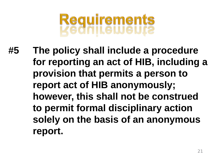## Requirements<br>Vedniteweur?

**#5 The policy shall include a procedure for reporting an act of HIB, including a provision that permits a person to report act of HIB anonymously; however, this shall not be construed to permit formal disciplinary action solely on the basis of an anonymous report.**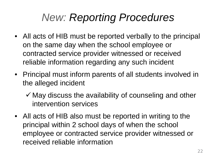### *New: Reporting Procedures*

- All acts of HIB must be reported verbally to the principal on the same day when the school employee or contracted service provider witnessed or received reliable information regarding any such incident
- Principal must inform parents of all students involved in the alleged incident
	- $\checkmark$  May discuss the availability of counseling and other intervention services
- All acts of HIB also must be reported in writing to the principal within 2 school days of when the school employee or contracted service provider witnessed or received reliable information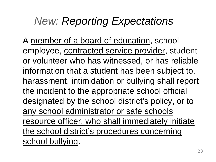### *New: Reporting Expectations*

A member of a board of education, school employee, contracted service provider, student or volunteer who has witnessed, or has reliable information that a student has been subject to, harassment, intimidation or bullying shall report the incident to the appropriate school official designated by the school district's policy, or to any school administrator or safe schools resource officer, who shall immediately initiate the school district's procedures concerning school bullying.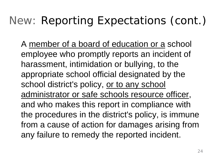### *New: Reporting Expectations (cont.)*

A member of a board of education or a school employee who promptly reports an incident of harassment, intimidation or bullying, to the appropriate school official designated by the school district's policy, or to any school administrator or safe schools resource officer, and who makes this report in compliance with the procedures in the district's policy, is immune from a cause of action for damages arising from any failure to remedy the reported incident.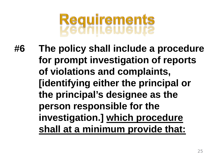### **Requirements**

**#6 The policy shall include a procedure for prompt investigation of reports of violations and complaints, [identifying either the principal or the principal's designee as the person responsible for the investigation.] which procedure shall at a minimum provide that:**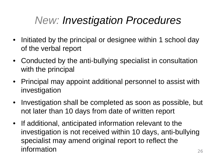### *New: Investigation Procedures*

- Initiated by the principal or designee within 1 school day of the verbal report
- Conducted by the anti-bullying specialist in consultation with the principal
- Principal may appoint additional personnel to assist with investigation
- Investigation shall be completed as soon as possible, but not later than 10 days from date of written report
- If additional, anticipated information relevant to the investigation is not received within 10 days, anti-bullying specialist may amend original report to reflect the information 26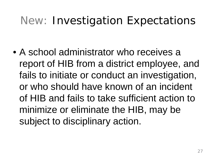### *New: Investigation Expectations*

• A school administrator who receives a report of HIB from a district employee, and fails to initiate or conduct an investigation, or who should have known of an incident of HIB and fails to take sufficient action to minimize or eliminate the HIB, may be subject to disciplinary action.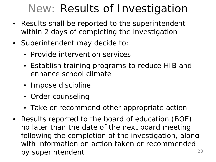### *New: Results of Investigation*

- Results shall be reported to the superintendent within 2 days of completing the investigation
- Superintendent may decide to:
	- Provide intervention services
	- Establish training programs to reduce HIB and enhance school climate
	- Impose discipline
	- Order counseling
	- Take or recommend other appropriate action
- Results reported to the board of education (BOE) no later than the date of the next board meeting following the completion of the investigation, along with information on action taken or recommended by superintendent and  $^{28}$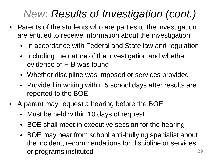### *New: Results of Investigation (cont.)*

- Parents of the students who are parties to the investigation are entitled to receive information about the investigation
	- In accordance with Federal and State law and regulation
	- Including the nature of the investigation and whether evidence of HIB was found
	- Whether discipline was imposed or services provided
	- Provided in writing within 5 school days after results are reported to the BOE
- A parent may request a hearing before the BOE
	- Must be held within 10 days of request
	- BOE shall meet in executive session for the hearing
	- BOE may hear from school anti-bullying specialist about the incident, recommendations for discipline or services, or programs instituted <sup>29</sup>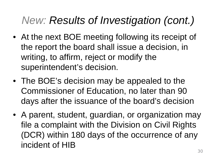### *New: Results of Investigation (cont.)*

- At the next BOE meeting following its receipt of the report the board shall issue a decision, in writing, to affirm, reject or modify the superintendent's decision.
- The BOE's decision may be appealed to the Commissioner of Education, no later than 90 days after the issuance of the board's decision
- A parent, student, guardian, or organization may file a complaint with the Division on Civil Rights (DCR) within 180 days of the occurrence of any incident of HIB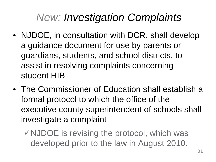### *New: Investigation Complaints*

- NJDOE, in consultation with DCR, shall develop a guidance document for use by parents or guardians, students, and school districts, to assist in resolving complaints concerning student HIB
- The Commissioner of Education shall establish a formal protocol to which the office of the executive county superintendent of schools shall investigate a complaint
	- $\checkmark$  NJDOE is revising the protocol, which was developed prior to the law in August 2010.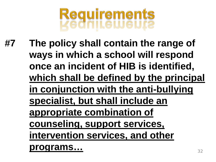

**#7 The policy shall contain the range of ways in which a school will respond once an incident of HIB is identified, which shall be defined by the principal in conjunction with the anti-bullying specialist, but shall include an appropriate combination of counseling, support services, intervention services, and other programs…** <sup>32</sup>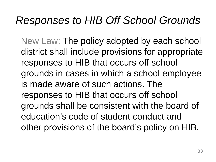#### *Responses to HIB Off School Grounds*

New Law: The policy adopted by each school district shall include provisions for appropriate responses to HIB that occurs off school grounds in cases in which a school employee is made aware of such actions. The responses to HIB that occurs off school grounds shall be consistent with the board of education's code of student conduct and other provisions of the board's policy on HIB.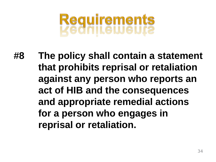# **Requirements<br>Kednikeweura**

**#8 The policy shall contain a statement that prohibits reprisal or retaliation against any person who reports an act of HIB and the consequences and appropriate remedial actions for a person who engages in reprisal or retaliation.**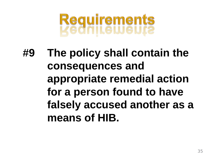# **Requirements<br>Kednikeweura**

**#9 The policy shall contain the consequences and appropriate remedial action for a person found to have falsely accused another as a means of HIB.**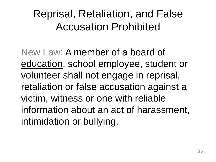### Reprisal, Retaliation, and False Accusation Prohibited

New Law: A member of a board of education, school employee, student or volunteer shall not engage in reprisal, retaliation or false accusation against a victim, witness or one with reliable information about an act of harassment, intimidation or bullying.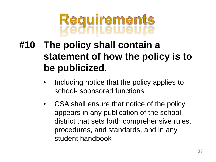

#### **#10 The policy shall contain a statement of how the policy is to be publicized.**

- Including notice that the policy applies to school- sponsored functions
- CSA shall ensure that notice of the policy appears in any publication of the school district that sets forth comprehensive rules, procedures, and standards, and in any student handbook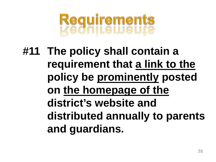# Requirements<br>Vednitetueur?

**#11 The policy shall contain a requirement that a link to the policy be prominently posted on the homepage of the district's website and distributed annually to parents and guardians.**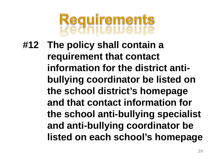

**#12 The policy shall contain a requirement that contact information for the district antibullying coordinator be listed on the school district's homepage and that contact information for the school anti-bullying specialist and anti-bullying coordinator be listed on each school's homepage**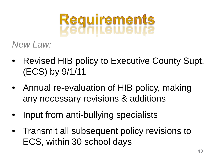# **Requirements<br>Kednileweura**

*New Law:*

- Revised HIB policy to Executive County Supt. (ECS) by 9/1/11
- Annual re-evaluation of HIB policy, making any necessary revisions & additions
- Input from anti-bullying specialists
- Transmit all subsequent policy revisions to ECS, within 30 school days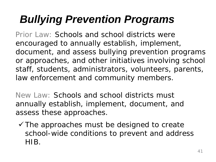### *Bullying Prevention Programs*

Prior Law: Schools and school districts were *encouraged* to annually establish, implement, document, and assess bullying prevention programs or approaches, and other initiatives involving school staff, students, administrators, volunteers, parents, law enforcement and community members.

New Law: Schools and school districts must annually establish, implement, document, and assess these approaches.

 $\checkmark$  The approaches must be designed to create school-wide conditions to prevent and address HIB.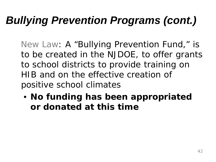### *Bullying Prevention Programs (cont.)*

New Law: A "Bullying Prevention Fund," is to be created in the NJDOE, to offer grants to school districts to provide training on HIB and on the effective creation of positive school climates

• **No funding has been appropriated or donated at this time**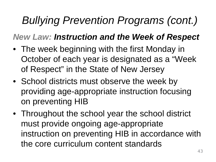### *Bullying Prevention Programs (cont.)*

#### *New Law: Instruction and the Week of Respect*

- The week beginning with the first Monday in October of each year is designated as a "Week of Respect" in the State of New Jersey
- School districts must observe the week by providing age-appropriate instruction focusing on preventing HIB
- Throughout the school year the school district must provide ongoing age-appropriate instruction on preventing HIB in accordance with the core curriculum content standards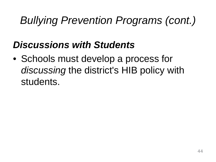### *Bullying Prevention Programs (cont.)*

#### *Discussions with Students*

• Schools must develop a process for *discussing* the district's HIB policy with students.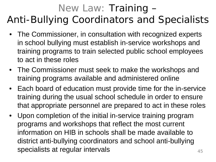#### *New Law: Training – Anti-Bullying Coordinators and Specialists*

- The Commissioner, in consultation with recognized experts in school bullying must establish in-service workshops and training programs to train selected public school employees to act in these roles
- The Commissioner must seek to make the workshops and training programs available and administered online
- Each board of education must provide time for the in-service training during the usual school schedule in order to ensure that appropriate personnel are prepared to act in these roles
- Upon completion of the initial in-service training program programs and workshops that reflect the most current information on HIB in schools shall be made available to district anti-bullying coordinators and school anti-bullying specialists at regular intervals  $45$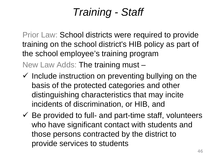### *Training - Staff*

Prior Law: School districts were required to provide training on the school district's HIB policy as part of the school employee's training program New Law Adds: The training must –

- $\checkmark$  Include instruction on preventing bullying on the basis of the protected categories and other distinguishing characteristics that may incite incidents of discrimination, or HIB, and
- $\checkmark$  Be provided to full- and part-time staff, volunteers who have significant contact with students and those persons contracted by the district to provide services to students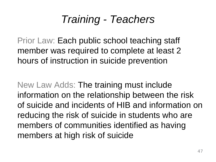### *Training - Teachers*

Prior Law: Each public school teaching staff member was required to complete at least 2 hours of instruction in suicide prevention

New Law Adds: The training must include information on the relationship between the risk of suicide and incidents of HIB and information on reducing the risk of suicide in students who are members of communities identified as having members at high risk of suicide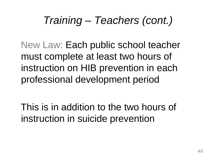### *Training – Teachers (cont.)*

New Law: Each public school teacher must complete at least two hours of instruction on HIB prevention in each professional development period

This is in addition to the two hours of instruction in suicide prevention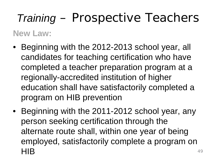### *Training – Prospective Teachers*

#### **New Law:**

- Beginning with the 2012-2013 school year, all candidates for teaching certification who have completed a teacher preparation program at a regionally-accredited institution of higher education shall have satisfactorily completed a program on HIB prevention
- Beginning with the 2011-2012 school year, any person seeking certification through the alternate route shall, within one year of being employed, satisfactorily complete a program on  $HIB$ <sup>49</sup>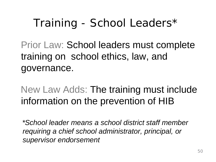### *Training - School Leaders\**

Prior Law: School leaders must complete training on school ethics, law, and governance.

New Law Adds: The training must include information on the prevention of HIB

*\*School leader means a school district staff member requiring a chief school administrator, principal, or supervisor endorsement*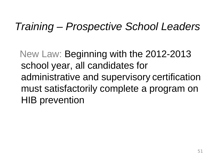#### *Training – Prospective School Leaders*

New Law: Beginning with the 2012-2013 school year, all candidates for administrative and supervisory certification must satisfactorily complete a program on HIB prevention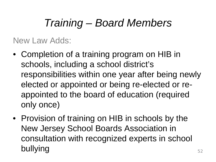### *Training – Board Members*

New Law Adds:

- Completion of a training program on HIB in schools, including a school district's responsibilities within one year after being newly elected or appointed or being re-elected or reappointed to the board of education (required only once)
- Provision of training on HIB in schools by the New Jersey School Boards Association in consultation with recognized experts in school bullying states of the states of the states of the states of the states of the states of the states of the states of the states of the states of the states of the states of the states of the states of the states of the sta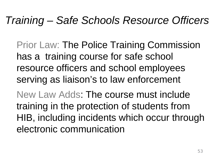### *Training – Safe Schools Resource Officers*

Prior Law: The Police Training Commission has a training course for safe school resource officers and school employees serving as liaison's to law enforcement

New Law Adds: The course must include training in the protection of students from HIB, including incidents which occur through electronic communication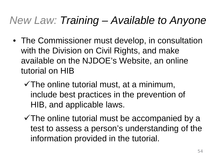### *New Law: Training – Available to Anyone*

- The Commissioner must develop, in consultation with the Division on Civil Rights, and make available on the NJDOE's Website, an online tutorial on HIB
	- $\checkmark$  The online tutorial must, at a minimum, include best practices in the prevention of HIB, and applicable laws.
	- $\checkmark$  The online tutorial must be accompanied by a test to assess a person's understanding of the information provided in the tutorial.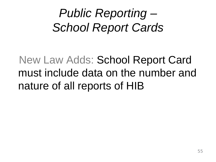### *Public Reporting – School Report Cards*

### New Law Adds: School Report Card must include data on the number and nature of all reports of HIB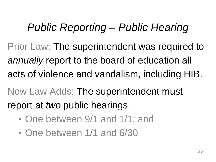### *Public Reporting – Public Hearing*

Prior Law: The superintendent was required to *annually* report to the board of education all acts of violence and vandalism, including HIB.

New Law Adds: The superintendent must report at *two* public hearings –

- One between 9/1 and 1/1; and
- One between 1/1 and 6/30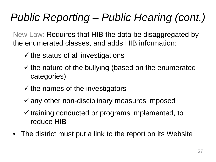### *Public Reporting – Public Hearing (cont.)*

New Law: Requires that HIB the data be disaggregated by the enumerated classes, and adds HIB information:

- $\checkmark$  the status of all investigations
- $\checkmark$  the nature of the bullying (based on the enumerated categories)
- $\checkmark$  the names of the investigators
- $\checkmark$  any other non-disciplinary measures imposed
- $\checkmark$  training conducted or programs implemented, to reduce HIB
- The district must put a link to the report on its Website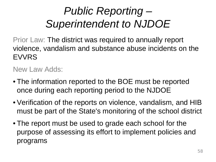### *Public Reporting – Superintendent to NJDOE*

Prior Law: The district was required to annually report violence, vandalism and substance abuse incidents on the EVVRS

New Law Adds:

- The information reported to the BOE must be reported once during each reporting period to the NJDOE
- Verification of the reports on violence, vandalism, and HIB must be part of the State's monitoring of the school district
- The report must be used to grade each school for the purpose of assessing its effort to implement policies and programs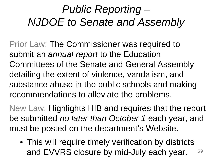### *Public Reporting – NJDOE to Senate and Assembly*

Prior Law: The Commissioner was required to submit an *annual report* to the Education Committees of the Senate and General Assembly detailing the extent of violence, vandalism, and substance abuse in the public schools and making recommendations to alleviate the problems.

New Law: Highlights HIB and requires that the report be submitted *no later than October 1* each year, and must be posted on the department's Website.

• This will require timely verification by districts and EVVRS closure by mid-July each year. 59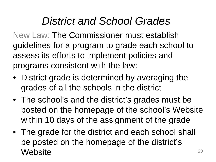### *District and School Grades*

New Law: The Commissioner must establish guidelines for a program to grade each school to assess its efforts to implement policies and programs consistent with the law:

- District grade is determined by averaging the grades of all the schools in the district
- The school's and the district's grades must be posted on the homepage of the school's Website within 10 days of the assignment of the grade
- The grade for the district and each school shall be posted on the homepage of the district's Website 60